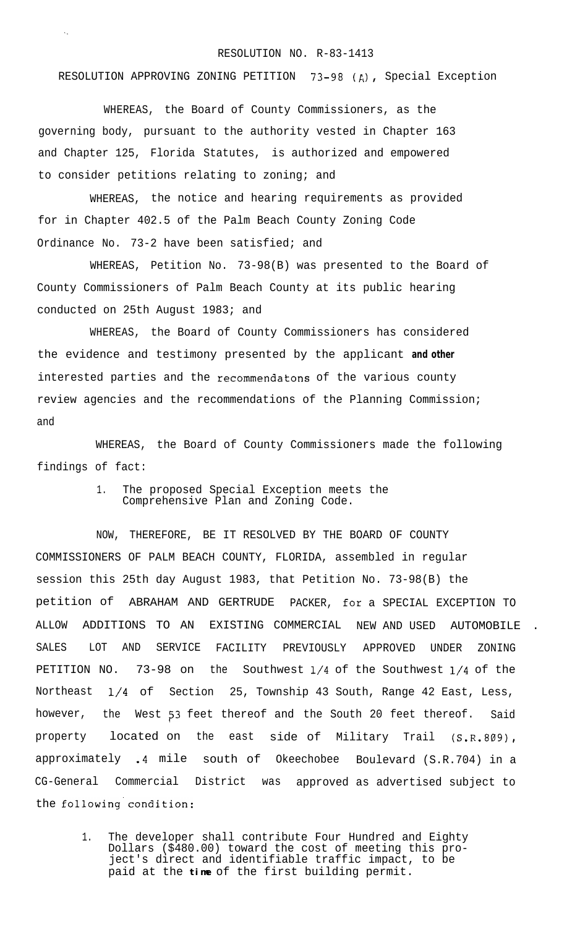## RESOLUTION NO. R-83-1413

## RESOLUTION APPROVING ZONING PETITION  $73-98$  (A), Special Exception

WHEREAS, the Board of County Commissioners, as the governing body, pursuant to the authority vested in Chapter 163 and Chapter 125, Florida Statutes, is authorized and empowered to consider petitions relating to zoning; and

WHEREAS, the notice and hearing requirements as provided for in Chapter 402.5 of the Palm Beach County Zoning Code Ordinance No. 73-2 have been satisfied; and

WHEREAS, Petition No. 73-98(B) was presented to the Board of County Commissioners of Palm Beach County at its public hearing conducted on 25th August 1983; and

WHEREAS, the Board of County Commissioners has considered the evidence and testimony presented by the applicant **and other** interested parties and the recommendatons of the various county review agencies and the recommendations of the Planning Commission; and

WHEREAS, the Board of County Commissioners made the following findings of fact:

> 1. The proposed Special Exception meets the Comprehensive Plan and Zoning Code.

NOW, THEREFORE, BE IT RESOLVED BY THE BOARD OF COUNTY COMMISSIONERS OF PALM BEACH COUNTY, FLORIDA, assembled in regular session this 25th day August 1983, that Petition No. 73-98(B) the petition of ABRAHAM AND GERTRUDE PACKER, for a SPECIAL EXCEPTION TO ALLOW ADDITIONS TO AN EXISTING COMMERCIAL NEW AND USED AUTOMOBILE . SALES LOT AND SERVICE FACILITY PREVIOUSLY APPROVED UNDER ZONING PETITION NO. 73-98 on the Southwest l/4 of the Southwest l/4 of the Northeast l/4 of Section 25, Township 43 South, Range 42 East, Less, however, the West 53 feet thereof and the South 20 feet thereof. Said property located on the east side of Military Trail (S.R.809), approximately .4 mile south of Okeechobee Boulevard (S.R.704) in a CG-General Commercial District was approved as advertised subject to the following condition:

1. The developer shall contribute Four Hundred and Eighty Dollars (\$480.00) toward the cost of meeting this project's direct and identifiable traffic impact, to be paid at the **time** of the first building permit.